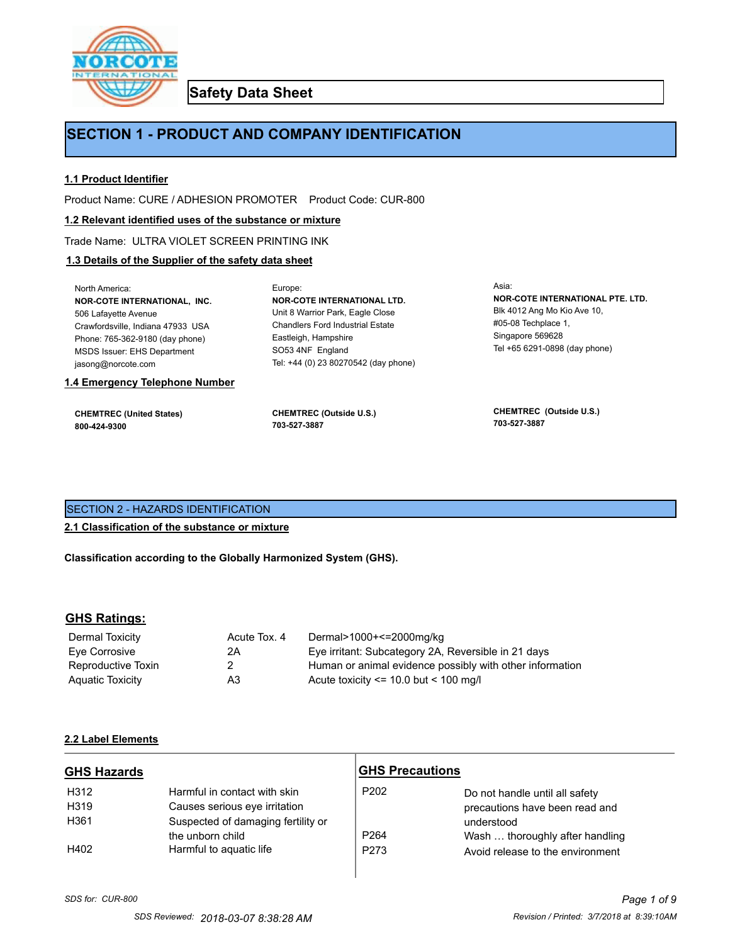

**Safety Data Sheet**

# **SECTION 1 - PRODUCT AND COMPANY IDENTIFICATION**

## **1.1 Product Identifier**

Product Name: CURE / ADHESION PROMOTER Product Code: CUR-800

## **1.2 Relevant identified uses of the substance or mixture**

Trade Name: ULTRA VIOLET SCREEN PRINTING INK

# **1.3 Details of the Supplier of the safety data sheet**

| 1.4 Emergency Telephone Number                                                                                                   | <b>CHEMTREC (Outside U.S.)</b>                                                                                              | <b>CHEMTREC</b> (Outside U.S.)                                              |
|----------------------------------------------------------------------------------------------------------------------------------|-----------------------------------------------------------------------------------------------------------------------------|-----------------------------------------------------------------------------|
| <b>CHEMTREC (United States)</b>                                                                                                  | 703-527-3887                                                                                                                | 703-527-3887                                                                |
| Crawfordsville, Indiana 47933 USA<br>Phone: 765-362-9180 (day phone)<br><b>MSDS Issuer: EHS Department</b><br>jasong@norcote.com | <b>Chandlers Ford Industrial Estate</b><br>Eastleigh, Hampshire<br>SO53 4NF England<br>Tel: +44 (0) 23 80270542 (day phone) | $\#05-08$ Techplace 1.<br>Singapore 569628<br>Tel +65 6291-0898 (day phone) |
| North America:                                                                                                                   | Europe:                                                                                                                     | Asia:                                                                       |
| <b>NOR-COTE INTERNATIONAL. INC.</b>                                                                                              | <b>NOR-COTE INTERNATIONAL LTD.</b>                                                                                          | NOR-COTE INTERNATIONAL PTE. LTD.                                            |
| 506 Lafayette Avenue                                                                                                             | Unit 8 Warrior Park, Eagle Close                                                                                            | Blk 4012 Ang Mo Kio Ave 10,                                                 |

SECTION 2 - HAZARDS IDENTIFICATION

**2.1 Classification of the substance or mixture**

**Classification according to the Globally Harmonized System (GHS).**

# **GHS Ratings:**

| Dermal Toxicity    | Acute Tox, 4 | Dermal>1000+<=2000mg/kg                                  |
|--------------------|--------------|----------------------------------------------------------|
| Eve Corrosive      | 2Α           | Eye irritant: Subcategory 2A, Reversible in 21 days      |
| Reproductive Toxin | 2            | Human or animal evidence possibly with other information |
| Aquatic Toxicity   | A3           | Acute toxicity $\leq$ 10.0 but $\leq$ 100 mg/l           |

# **2.2 Label Elements**

| <b>GHS Hazards</b> |                                    | <b>GHS Precautions</b> |                                  |
|--------------------|------------------------------------|------------------------|----------------------------------|
| H312               | Harmful in contact with skin       | P <sub>202</sub>       | Do not handle until all safety   |
| H319               | Causes serious eye irritation      |                        | precautions have been read and   |
| H361               | Suspected of damaging fertility or |                        | understood                       |
|                    | the unborn child                   | P <sub>264</sub>       | Wash  thoroughly after handling  |
| H402               | Harmful to aquatic life            | P273                   | Avoid release to the environment |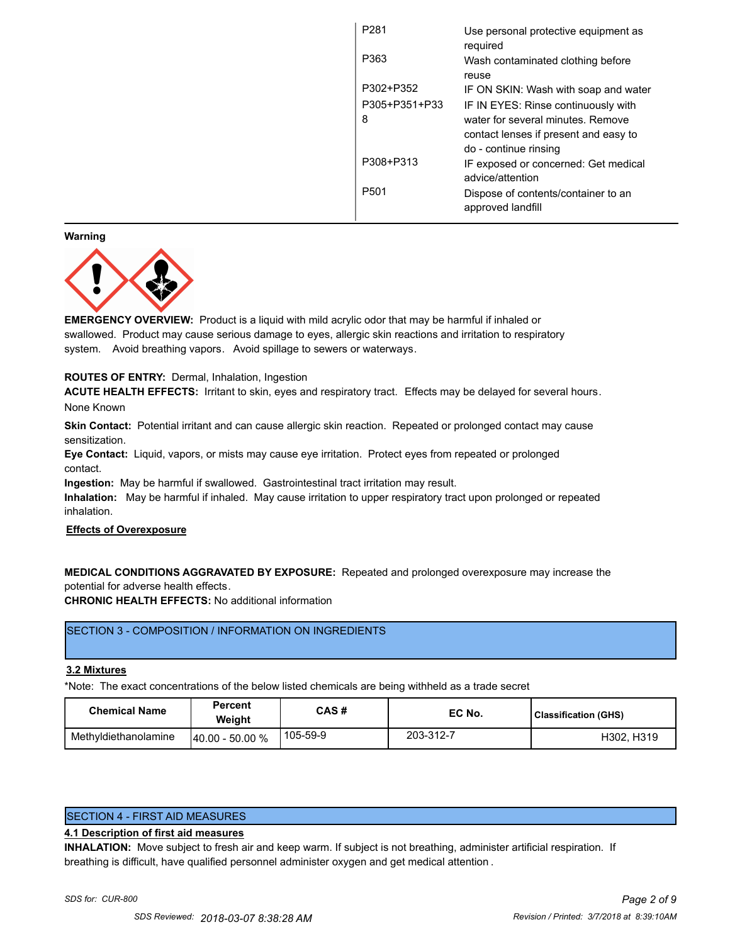| P <sub>281</sub> | Use personal protective equipment as<br>required               |
|------------------|----------------------------------------------------------------|
| P363             | Wash contaminated clothing before<br>reuse                     |
| P302+P352        | IF ON SKIN: Wash with soap and water                           |
| P305+P351+P33    | IF IN EYES: Rinse continuously with                            |
| 8                | water for several minutes. Remove                              |
|                  | contact lenses if present and easy to<br>do - continue rinsing |
| P308+P313        | IF exposed or concerned: Get medical<br>advice/attention       |
| P501             | Dispose of contents/container to an<br>approved landfill       |
|                  |                                                                |

#### **Warning**



**EMERGENCY OVERVIEW:** Product is a liquid with mild acrylic odor that may be harmful if inhaled or swallowed. Product may cause serious damage to eyes, allergic skin reactions and irritation to respiratory system. Avoid breathing vapors. Avoid spillage to sewers or waterways.

# **ROUTES OF ENTRY:** Dermal, Inhalation, Ingestion

**ACUTE HEALTH EFFECTS:** Irritant to skin, eyes and respiratory tract. Effects may be delayed for several hours. None Known

**Skin Contact:** Potential irritant and can cause allergic skin reaction. Repeated or prolonged contact may cause sensitization.

**Eye Contact:** Liquid, vapors, or mists may cause eye irritation. Protect eyes from repeated or prolonged contact.

**Ingestion:** May be harmful if swallowed. Gastrointestinal tract irritation may result.

**Inhalation:** May be harmful if inhaled. May cause irritation to upper respiratory tract upon prolonged or repeated inhalation.

## **Effects of Overexposure**

**MEDICAL CONDITIONS AGGRAVATED BY EXPOSURE:** Repeated and prolonged overexposure may increase the potential for adverse health effects.

**CHRONIC HEALTH EFFECTS:** No additional information

# SECTION 3 - COMPOSITION / INFORMATION ON INGREDIENTS

### **3.2 Mixtures**

\*Note: The exact concentrations of the below listed chemicals are being withheld as a trade secret

| <b>Chemical Name</b> | Percent<br>Weiaht  | CAS#     | EC No.    | <b>Classification (GHS)</b> |
|----------------------|--------------------|----------|-----------|-----------------------------|
| Methyldiethanolamine | $140.00 - 50.00 %$ | 105-59-9 | 203-312-7 | H302, H319                  |

SECTION 4 - FIRST AID MEASURES

# **4.1 Description of first aid measures**

**INHALATION:** Move subject to fresh air and keep warm. If subject is not breathing, administer artificial respiration. If breathing is difficult, have qualified personnel administer oxygen and get medical attention .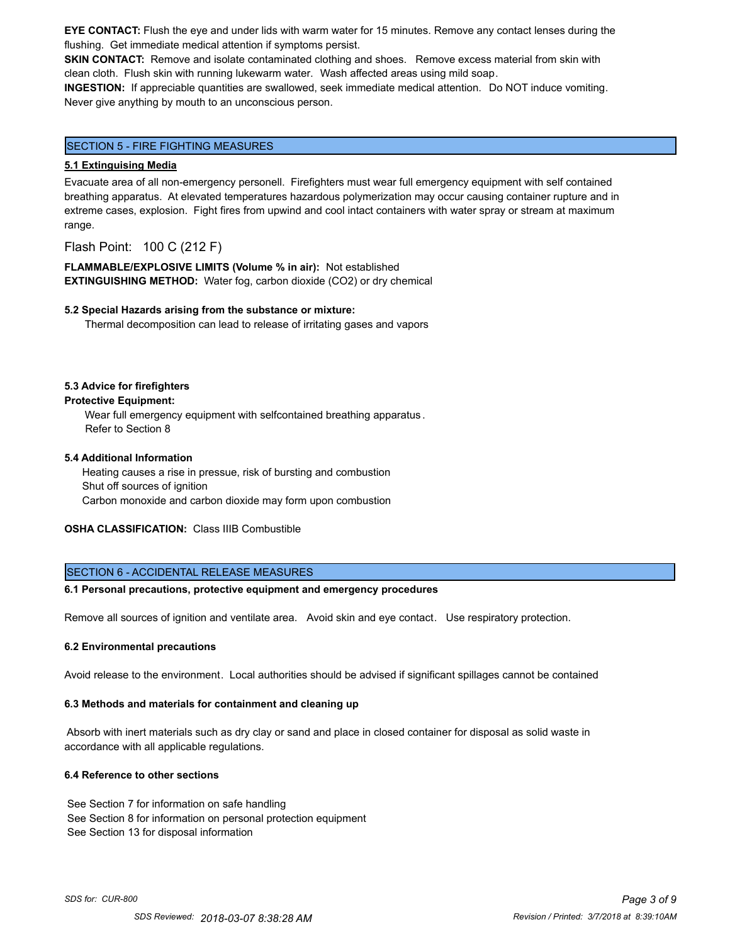**EYE CONTACT:** Flush the eye and under lids with warm water for 15 minutes. Remove any contact lenses during the flushing. Get immediate medical attention if symptoms persist.

**SKIN CONTACT:** Remove and isolate contaminated clothing and shoes. Remove excess material from skin with clean cloth. Flush skin with running lukewarm water. Wash affected areas using mild soap.

**INGESTION:** If appreciable quantities are swallowed, seek immediate medical attention. Do NOT induce vomiting. Never give anything by mouth to an unconscious person.

## SECTION 5 - FIRE FIGHTING MEASURES

#### **5.1 Extinguising Media**

Evacuate area of all non-emergency personell. Firefighters must wear full emergency equipment with self contained breathing apparatus. At elevated temperatures hazardous polymerization may occur causing container rupture and in extreme cases, explosion. Fight fires from upwind and cool intact containers with water spray or stream at maximum range.

Flash Point: 100 C (212 F)

**FLAMMABLE/EXPLOSIVE LIMITS (Volume % in air):** Not established **EXTINGUISHING METHOD:** Water fog, carbon dioxide (CO2) or dry chemical

#### **5.2 Special Hazards arising from the substance or mixture:**

Thermal decomposition can lead to release of irritating gases and vapors

#### **5.3 Advice for firefighters**

#### **Protective Equipment:**

Wear full emergency equipment with selfcontained breathing apparatus . Refer to Section 8

### **5.4 Additional Information**

 Heating causes a rise in pressue, risk of bursting and combustion Shut off sources of ignition Carbon monoxide and carbon dioxide may form upon combustion

**OSHA CLASSIFICATION:** Class IIIB Combustible

### SECTION 6 - ACCIDENTAL RELEASE MEASURES

#### **6.1 Personal precautions, protective equipment and emergency procedures**

Remove all sources of ignition and ventilate area. Avoid skin and eye contact. Use respiratory protection.

#### **6.2 Environmental precautions**

Avoid release to the environment. Local authorities should be advised if significant spillages cannot be contained

#### **6.3 Methods and materials for containment and cleaning up**

 Absorb with inert materials such as dry clay or sand and place in closed container for disposal as solid waste in accordance with all applicable regulations.

#### **6.4 Reference to other sections**

See Section 7 for information on safe handling See Section 8 for information on personal protection equipment See Section 13 for disposal information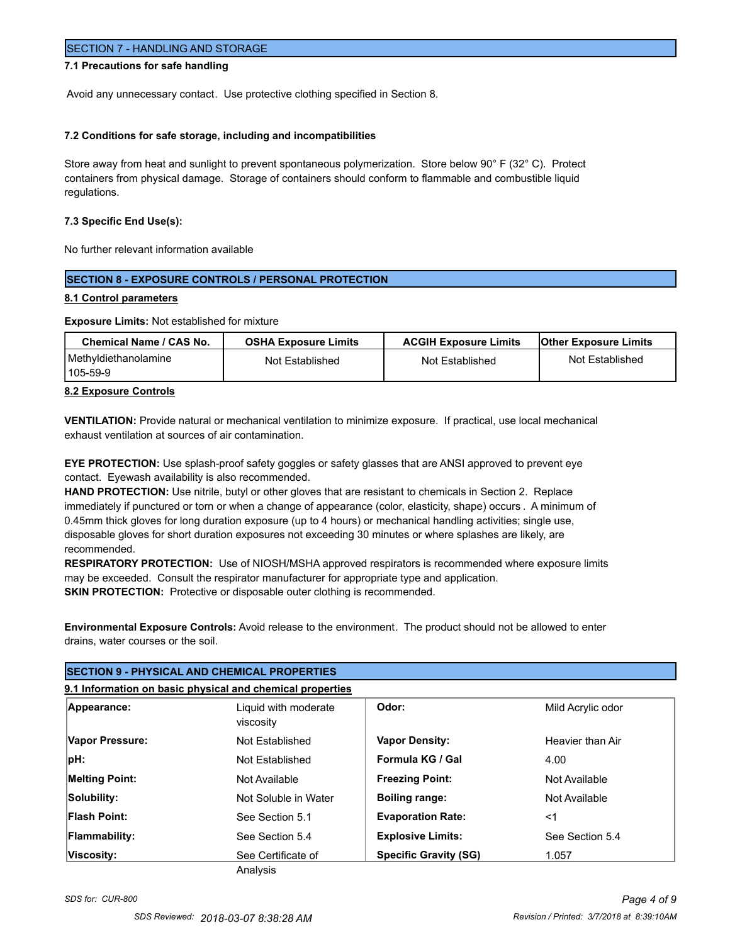## SECTION 7 - HANDLING AND STORAGE

### **7.1 Precautions for safe handling**

Avoid any unnecessary contact. Use protective clothing specified in Section 8.

#### **7.2 Conditions for safe storage, including and incompatibilities**

Store away from heat and sunlight to prevent spontaneous polymerization. Store below 90° F (32° C). Protect containers from physical damage. Storage of containers should conform to flammable and combustible liquid regulations.

#### **7.3 Specific End Use(s):**

No further relevant information available

# **SECTION 8 - EXPOSURE CONTROLS / PERSONAL PROTECTION**

### **8.1 Control parameters**

**Exposure Limits:** Not established for mixture

| Chemical Name / CAS No.           | <b>OSHA Exposure Limits</b> | <b>ACGIH Exposure Limits</b> | <b>Other Exposure Limits</b> |
|-----------------------------------|-----------------------------|------------------------------|------------------------------|
| Methyldiethanolamine<br>1105-59-9 | Not Established             | Not Established              | Not Established              |

## **8.2 Exposure Controls**

**VENTILATION:** Provide natural or mechanical ventilation to minimize exposure. If practical, use local mechanical exhaust ventilation at sources of air contamination.

**EYE PROTECTION:** Use splash-proof safety goggles or safety glasses that are ANSI approved to prevent eye contact. Eyewash availability is also recommended.

**HAND PROTECTION:** Use nitrile, butyl or other gloves that are resistant to chemicals in Section 2. Replace immediately if punctured or torn or when a change of appearance (color, elasticity, shape) occurs . A minimum of 0.45mm thick gloves for long duration exposure (up to 4 hours) or mechanical handling activities; single use, disposable gloves for short duration exposures not exceeding 30 minutes or where splashes are likely, are recommended.

**RESPIRATORY PROTECTION:** Use of NIOSH/MSHA approved respirators is recommended where exposure limits may be exceeded. Consult the respirator manufacturer for appropriate type and application. **SKIN PROTECTION:** Protective or disposable outer clothing is recommended.

**Environmental Exposure Controls:** Avoid release to the environment. The product should not be allowed to enter drains, water courses or the soil.

| <b>SECTION 9 - PHYSICAL AND CHEMICAL PROPERTIES</b>       |                                   |                              |                   |
|-----------------------------------------------------------|-----------------------------------|------------------------------|-------------------|
| 9.1 Information on basic physical and chemical properties |                                   |                              |                   |
| Appearance:                                               | Liquid with moderate<br>viscosity | Odor:                        | Mild Acrylic odor |
| Vapor Pressure:                                           | Not Established                   | <b>Vapor Density:</b>        | Heavier than Air  |
| pH:                                                       | Not Established                   | Formula KG / Gal             | 4.00              |
| <b>Melting Point:</b>                                     | Not Available                     | <b>Freezing Point:</b>       | Not Available     |
| Solubility:                                               | Not Soluble in Water              | <b>Boiling range:</b>        | Not Available     |
| <b>Flash Point:</b>                                       | See Section 5.1                   | <b>Evaporation Rate:</b>     | $<$ 1             |
| <b>Flammability:</b>                                      | See Section 5.4                   | <b>Explosive Limits:</b>     | See Section 5.4   |
| Viscosity:                                                | See Certificate of<br>Analysis    | <b>Specific Gravity (SG)</b> | 1.057             |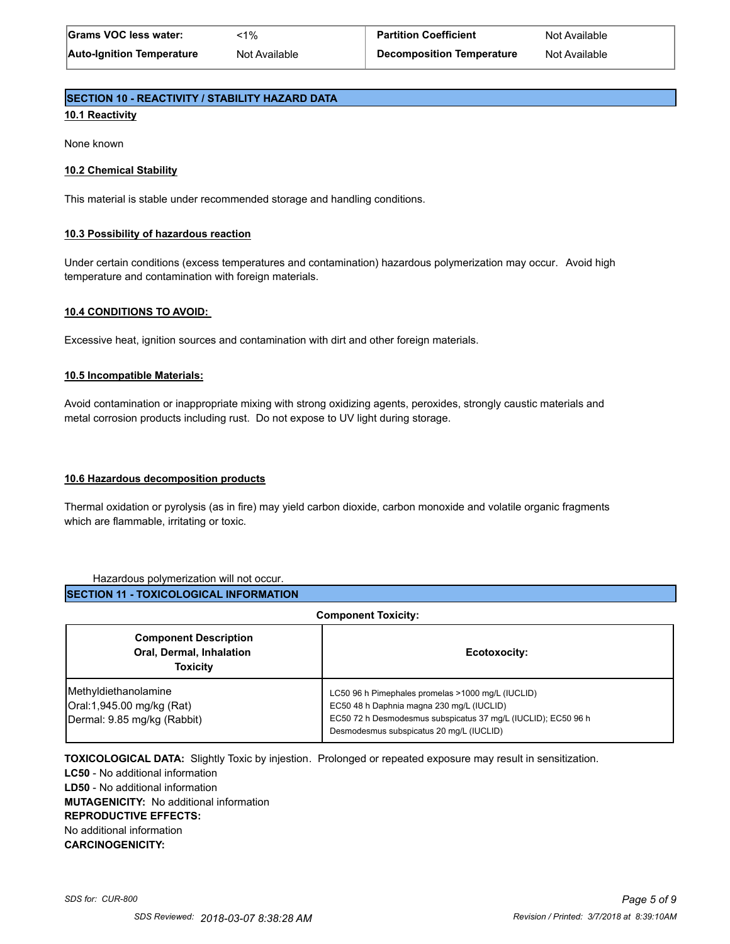# **SECTION 10 - REACTIVITY / STABILITY HAZARD DATA**

# **10.1 Reactivity**

None known

## **10.2 Chemical Stability**

This material is stable under recommended storage and handling conditions.

## **10.3 Possibility of hazardous reaction**

Under certain conditions (excess temperatures and contamination) hazardous polymerization may occur. Avoid high temperature and contamination with foreign materials.

## **10.4 CONDITIONS TO AVOID:**

Excessive heat, ignition sources and contamination with dirt and other foreign materials.

### **10.5 Incompatible Materials:**

Avoid contamination or inappropriate mixing with strong oxidizing agents, peroxides, strongly caustic materials and metal corrosion products including rust. Do not expose to UV light during storage.

## **10.6 Hazardous decomposition products**

Thermal oxidation or pyrolysis (as in fire) may yield carbon dioxide, carbon monoxide and volatile organic fragments which are flammable, irritating or toxic.

### Hazardous polymerization will not occur.

**SECTION 11 - TOXICOLOGICAL INFORMATION**

| <b>Component Toxicity:</b>                                                         |                                                                                                                                                                                                             |  |
|------------------------------------------------------------------------------------|-------------------------------------------------------------------------------------------------------------------------------------------------------------------------------------------------------------|--|
| <b>Component Description</b><br><b>Oral, Dermal, Inhalation</b><br><b>Toxicity</b> | Ecotoxocity:                                                                                                                                                                                                |  |
| Methyldiethanolamine<br>Oral:1,945.00 mg/kg (Rat)<br>Dermal: 9.85 mg/kg (Rabbit)   | LC50 96 h Pimephales promelas >1000 mg/L (IUCLID)<br>EC50 48 h Daphnia magna 230 mg/L (IUCLID)<br>EC50 72 h Desmodesmus subspicatus 37 mg/L (IUCLID); EC50 96 h<br>Desmodesmus subspicatus 20 mg/L (IUCLID) |  |

**TOXICOLOGICAL DATA:** Slightly Toxic by injestion. Prolonged or repeated exposure may result in sensitization. **LC50** - No additional information **LD50** - No additional information **MUTAGENICITY:** No additional information **REPRODUCTIVE EFFECTS:** No additional information **CARCINOGENICITY:**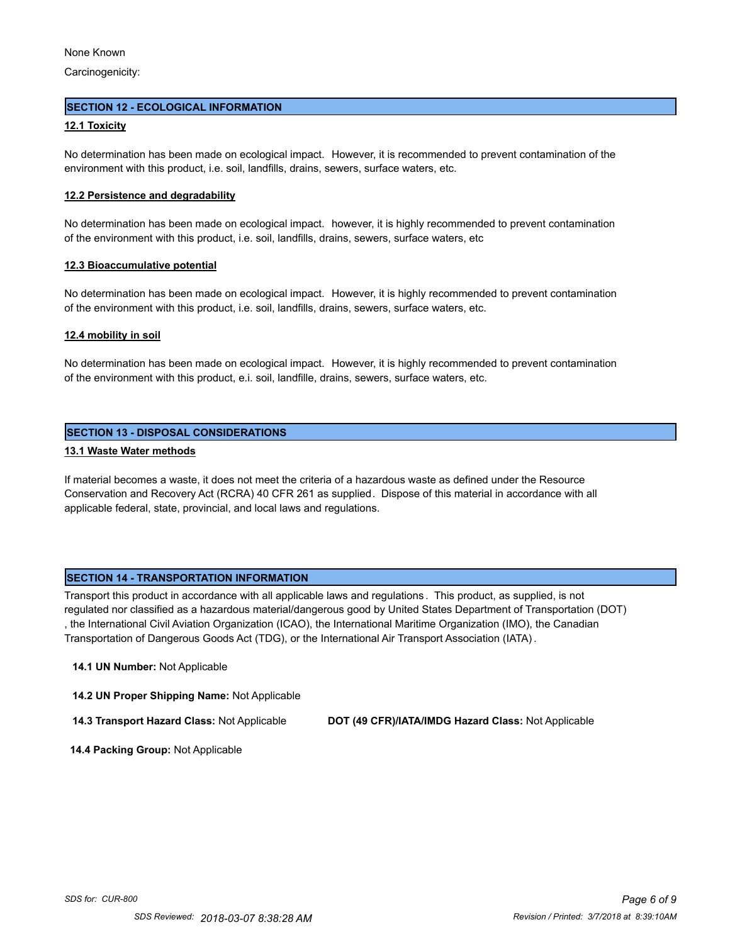Carcinogenicity:

#### **SECTION 12 - ECOLOGICAL INFORMATION**

#### **12.1 Toxicity**

No determination has been made on ecological impact. However, it is recommended to prevent contamination of the environment with this product, i.e. soil, landfills, drains, sewers, surface waters, etc.

#### **12.2 Persistence and degradability**

No determination has been made on ecological impact. however, it is highly recommended to prevent contamination of the environment with this product, i.e. soil, landfills, drains, sewers, surface waters, etc

#### **12.3 Bioaccumulative potential**

No determination has been made on ecological impact. However, it is highly recommended to prevent contamination of the environment with this product, i.e. soil, landfills, drains, sewers, surface waters, etc.

#### **12.4 mobility in soil**

No determination has been made on ecological impact. However, it is highly recommended to prevent contamination of the environment with this product, e.i. soil, landfille, drains, sewers, surface waters, etc.

## **SECTION 13 - DISPOSAL CONSIDERATIONS**

## **13.1 Waste Water methods**

If material becomes a waste, it does not meet the criteria of a hazardous waste as defined under the Resource Conservation and Recovery Act (RCRA) 40 CFR 261 as supplied. Dispose of this material in accordance with all applicable federal, state, provincial, and local laws and regulations.

### **SECTION 14 - TRANSPORTATION INFORMATION**

Transport this product in accordance with all applicable laws and regulations . This product, as supplied, is not regulated nor classified as a hazardous material/dangerous good by United States Department of Transportation (DOT) , the International Civil Aviation Organization (ICAO), the International Maritime Organization (IMO), the Canadian Transportation of Dangerous Goods Act (TDG), or the International Air Transport Association (IATA).

#### **14.1 UN Number:** Not Applicable

**14.2 UN Proper Shipping Name:** Not Applicable

**14.3 Transport Hazard Class:** Not Applicable **DOT (49 CFR)/IATA/IMDG Hazard Class:** Not Applicable

 **14.4 Packing Group:** Not Applicable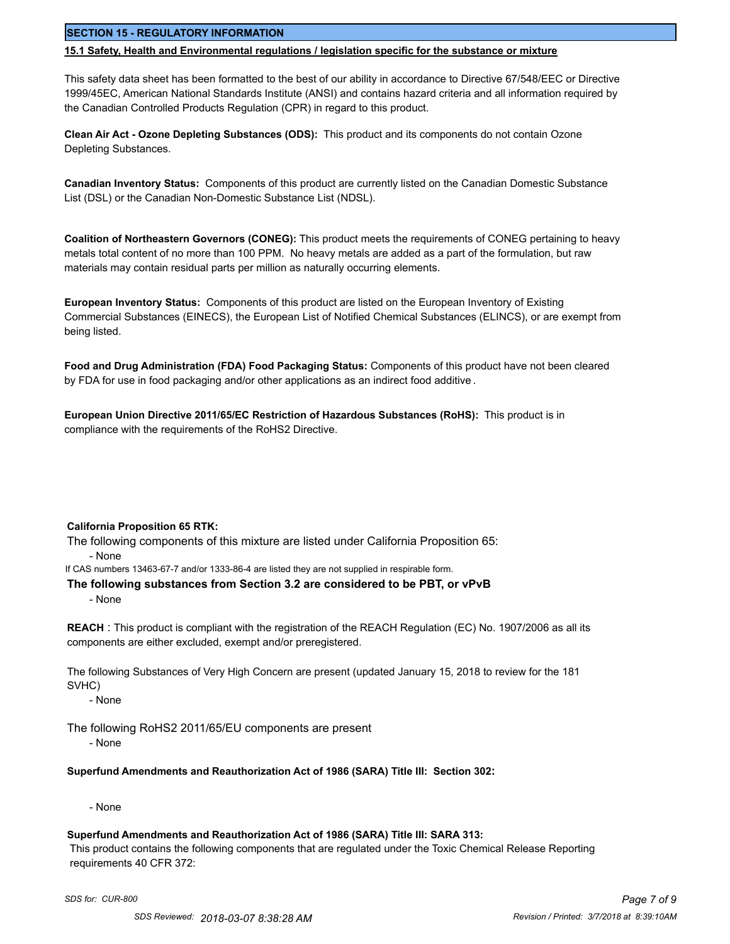# **SECTION 15 - REGULATORY INFORMATION**

#### **15.1 Safety, Health and Environmental regulations / legislation specific for the substance or mixture**

This safety data sheet has been formatted to the best of our ability in accordance to Directive 67/548/EEC or Directive 1999/45EC, American National Standards Institute (ANSI) and contains hazard criteria and all information required by the Canadian Controlled Products Regulation (CPR) in regard to this product.

**Clean Air Act - Ozone Depleting Substances (ODS):** This product and its components do not contain Ozone Depleting Substances.

**Canadian Inventory Status:** Components of this product are currently listed on the Canadian Domestic Substance List (DSL) or the Canadian Non-Domestic Substance List (NDSL).

**Coalition of Northeastern Governors (CONEG):** This product meets the requirements of CONEG pertaining to heavy metals total content of no more than 100 PPM. No heavy metals are added as a part of the formulation, but raw materials may contain residual parts per million as naturally occurring elements.

**European Inventory Status:** Components of this product are listed on the European Inventory of Existing Commercial Substances (EINECS), the European List of Notified Chemical Substances (ELINCS), or are exempt from being listed.

**Food and Drug Administration (FDA) Food Packaging Status:** Components of this product have not been cleared by FDA for use in food packaging and/or other applications as an indirect food additive .

**European Union Directive 2011/65/EC Restriction of Hazardous Substances (RoHS):** This product is in compliance with the requirements of the RoHS2 Directive.

### **California Proposition 65 RTK:**

The following components of this mixture are listed under California Proposition 65: - None

If CAS numbers 13463-67-7 and/or 1333-86-4 are listed they are not supplied in respirable form.

### **The following substances from Section 3.2 are considered to be PBT, or vPvB**

- None

**REACH** : This product is compliant with the registration of the REACH Regulation (EC) No. 1907/2006 as all its components are either excluded, exempt and/or preregistered.

The following Substances of Very High Concern are present (updated January 15, 2018 to review for the 181 SVHC)

- None

The following RoHS2 2011/65/EU components are present

- None

# **Superfund Amendments and Reauthorization Act of 1986 (SARA) Title III: Section 302:**

- None

### **Superfund Amendments and Reauthorization Act of 1986 (SARA) Title III: SARA 313:**

 This product contains the following components that are regulated under the Toxic Chemical Release Reporting requirements 40 CFR 372: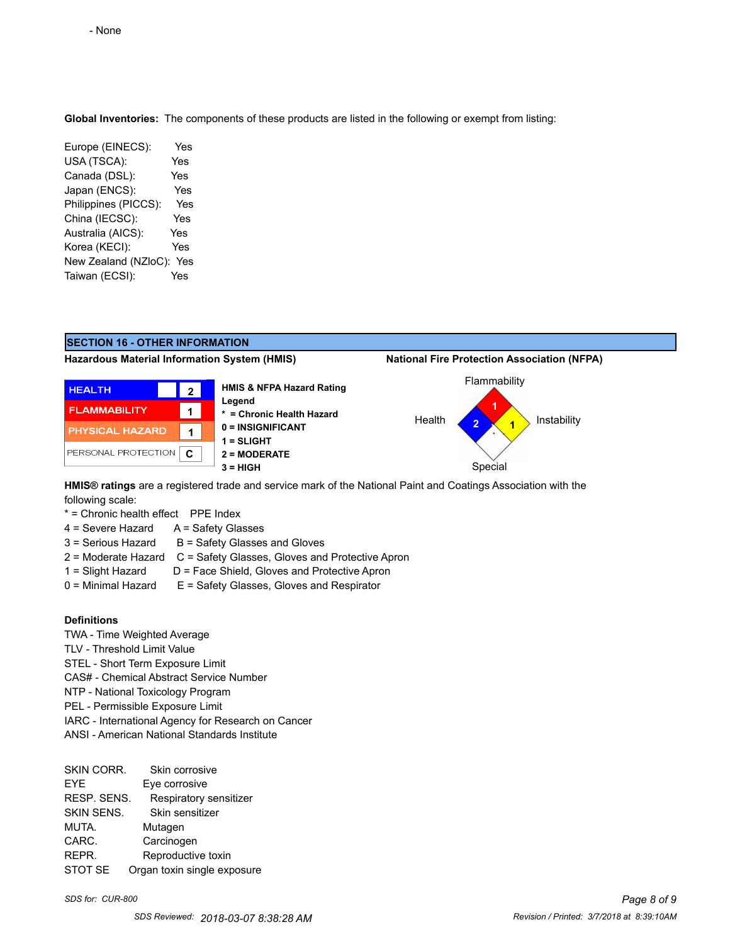**Global Inventories:** The components of these products are listed in the following or exempt from listing:

Europe (EINECS): Yes USA (TSCA): Yes Canada (DSL): Yes Japan (ENCS): Yes Philippines (PICCS): Yes China (IECSC): Yes Australia (AICS): Yes Korea (KECI): Yes New Zealand (NZloC): Yes Taiwan (ECSI): Yes



following scale:

\* = Chronic health effect PPE Index

- 4 = Severe Hazard A = Safety Glasses
- $3 =$  Serious Hazard  $B =$  Safety Glasses and Gloves
- 2 = Moderate Hazard C = Safety Glasses, Gloves and Protective Apron
- 1 = Slight Hazard D = Face Shield, Gloves and Protective Apron
- $0 =$  Minimal Hazard  $E =$  Safety Glasses, Gloves and Respirator

# **Definitions**

- TWA Time Weighted Average
- TLV Threshold Limit Value
- STEL Short Term Exposure Limit
- CAS# Chemical Abstract Service Number
- NTP National Toxicology Program
- PEL Permissible Exposure Limit
- IARC International Agency for Research on Cancer
- ANSI American National Standards Institute

SKIN CORR. Skin corrosive EYE Eye corrosive RESP. SENS. Respiratory sensitizer SKIN SENS. Skin sensitizer MUTA. Mutagen CARC. Carcinogen REPR. Reproductive toxin STOT SE Organ toxin single exposure